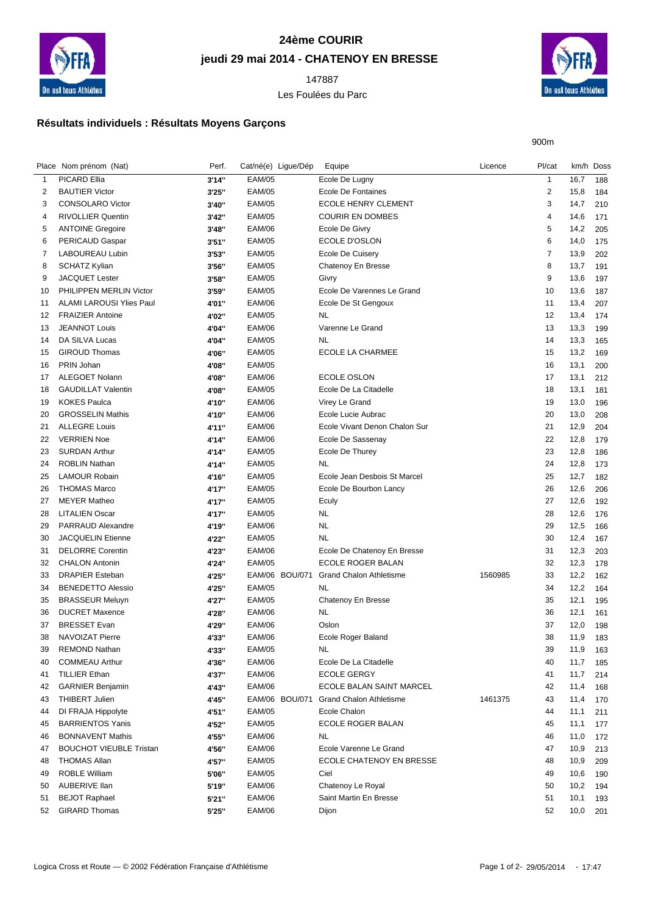

## **24ème COURIR jeudi 29 mai 2014 - CHATENOY EN BRESSE**

Les Foulées du Parc



900m

## **Résultats individuels : Résultats Moyens Garçons**

|                | Place Nom prénom (Nat)                             | Perf.  | Cat/né(e) Ligue/Dép | Equipe                          | Licence | Pl/cat         | km/h Doss |     |
|----------------|----------------------------------------------------|--------|---------------------|---------------------------------|---------|----------------|-----------|-----|
| $\overline{1}$ | PICARD Ellia                                       | 3'14"  | <b>EAM/05</b>       | Ecole De Lugny                  |         | $\mathbf{1}$   | 16,7      | 188 |
| 2              | <b>BAUTIER Victor</b>                              | 3'25"  | <b>EAM/05</b>       | Ecole De Fontaines              |         | $\overline{2}$ | 15,8      | 184 |
| 3              | <b>CONSOLARO Victor</b>                            | 3'40"  | <b>EAM/05</b>       | <b>ECOLE HENRY CLEMENT</b>      |         | 3              | 14,7      | 210 |
| 4              | <b>RIVOLLIER Quentin</b>                           | 3'42"  | <b>EAM/05</b>       | <b>COURIR EN DOMBES</b>         |         | 4              | 14,6      | 171 |
| 5              | <b>ANTOINE Gregoire</b>                            | 3'48"  | <b>EAM/06</b>       | Ecole De Givry                  |         | 5              | 14,2      | 205 |
| 6              | <b>PERICAUD Gaspar</b>                             | 3'51'' | <b>EAM/05</b>       | ECOLE D'OSLON                   |         | 6              | 14,0      | 175 |
| 7              | <b>LABOUREAU Lubin</b>                             | 3'53"  | <b>EAM/05</b>       | Ecole De Cuisery                |         | 7              | 13,9      | 202 |
| 8              | <b>SCHATZ Kylian</b>                               | 3'56"  | <b>EAM/05</b>       | Chatenoy En Bresse              |         | 8              | 13,7      | 191 |
| 9              | <b>JACQUET Lester</b>                              | 3'58"  | <b>EAM/05</b>       | Givry                           |         | 9              | 13,6      | 197 |
| 10             | PHILIPPEN MERLIN Victor                            | 3'59"  | <b>EAM/05</b>       | Ecole De Varennes Le Grand      |         | 10             | 13,6      | 187 |
| 11             | <b>ALAMI LAROUSI Ylies Paul</b>                    | 4'01"  | <b>EAM/06</b>       | Ecole De St Gengoux             |         | 11             | 13,4      | 207 |
| 12             | <b>FRAIZIER Antoine</b>                            | 4'02"  | <b>EAM/05</b>       | <b>NL</b>                       |         | 12             | 13,4      | 174 |
| 13             | <b>JEANNOT Louis</b>                               | 4'04"  | <b>EAM/06</b>       | Varenne Le Grand                |         | 13             | 13,3      | 199 |
| 14             | DA SILVA Lucas                                     | 4'04"  | <b>EAM/05</b>       | <b>NL</b>                       |         | 14             | 13,3      | 165 |
| 15             | <b>GIROUD Thomas</b>                               | 4'06"  | <b>EAM/05</b>       | ECOLE LA CHARMEE                |         | 15             | 13,2      | 169 |
| 16             | PRIN Johan                                         | 4'08"  | <b>EAM/05</b>       |                                 |         | 16             | 13,1      | 200 |
| 17             | <b>ALEGOET Nolann</b>                              | 4'08"  | <b>EAM/06</b>       | <b>ECOLE OSLON</b>              |         | 17             | 13,1      | 212 |
| 18             | <b>GAUDILLAT Valentin</b>                          | 4'08"  | <b>EAM/05</b>       | Ecole De La Citadelle           |         | 18             | 13,1      | 181 |
| 19             | <b>KOKES Paulca</b>                                | 4'10"  | <b>EAM/06</b>       | Virey Le Grand                  |         | 19             | 13,0      | 196 |
| 20             | <b>GROSSELIN Mathis</b>                            | 4'10"  | <b>EAM/06</b>       | Ecole Lucie Aubrac              |         | 20             | 13,0      | 208 |
| 21             | <b>ALLEGRE Louis</b>                               | 4'11"  | <b>EAM/06</b>       | Ecole Vivant Denon Chalon Sur   |         | 21             | 12,9      | 204 |
| 22             | <b>VERRIEN Noe</b>                                 | 4'14"  | <b>EAM/06</b>       | Ecole De Sassenay               |         | 22             | 12,8      | 179 |
| 23             | <b>SURDAN Arthur</b>                               | 4'14"  | <b>EAM/05</b>       | Ecole De Thurey                 |         | 23             | 12,8      | 186 |
| 24             | <b>ROBLIN Nathan</b>                               | 4'14"  | <b>EAM/05</b>       | <b>NL</b>                       |         | 24             | 12,8      | 173 |
| 25             | <b>LAMOUR Robain</b>                               | 4'16"  | <b>EAM/05</b>       | Ecole Jean Desbois St Marcel    |         | 25             | 12,7      | 182 |
| 26             | <b>THOMAS Marco</b>                                | 4'17"  | <b>EAM/05</b>       | Ecole De Bourbon Lancy          |         | 26             | 12,6      | 206 |
| 27             | <b>MEYER Matheo</b>                                | 4'17"  | <b>EAM/05</b>       | Eculy                           |         | 27             | 12,6      | 192 |
| 28             | <b>LITALIEN Oscar</b>                              | 4'17"  | <b>EAM/05</b>       | <b>NL</b>                       |         | 28             | 12,6      | 176 |
| 29             | PARRAUD Alexandre                                  | 4'19"  | <b>EAM/06</b>       | <b>NL</b>                       |         | 29             | 12,5      | 166 |
| 30             | <b>JACQUELIN Etienne</b>                           | 4'22"  | <b>EAM/05</b>       | <b>NL</b>                       |         | 30             | 12,4      | 167 |
| 31             | <b>DELORRE Corentin</b>                            | 4'23"  | <b>EAM/06</b>       | Ecole De Chatenoy En Bresse     |         | 31             | 12,3      | 203 |
| 32             | <b>CHALON Antonin</b>                              |        | <b>EAM/05</b>       | ECOLE ROGER BALAN               |         | 32             | 12,3      | 178 |
| 33             | <b>DRAPIER Esteban</b>                             | 4'24"  | EAM/06 BOU/071      | <b>Grand Chalon Athletisme</b>  | 1560985 | 33             | 12,2      |     |
|                |                                                    | 4'25"  | <b>EAM/05</b>       |                                 |         |                |           | 162 |
| 34             | <b>BENEDETTO Alessio</b><br><b>BRASSEUR Meluyn</b> | 4'25"  | <b>EAM/05</b>       | NL                              |         | 34<br>35       | 12,2      | 164 |
| 35             | <b>DUCRET Maxence</b>                              | 4'27"  | <b>EAM/06</b>       | Chatenoy En Bresse<br><b>NL</b> |         | 36             | 12,1      | 195 |
| 36             |                                                    | 4'28"  | <b>EAM/06</b>       |                                 |         |                | 12,1      | 161 |
| 37             | <b>BRESSET Evan</b><br><b>NAVOIZAT Pierre</b>      | 4'29"  | <b>EAM/06</b>       | Oslon                           |         | 37<br>38       | 12,0      | 198 |
| 38             |                                                    | 4'33"  |                     | Ecole Roger Baland              |         |                | 11,9      | 183 |
| 39             | <b>REMOND Nathan</b><br><b>COMMEAU Arthur</b>      | 4'33"  | <b>EAM/05</b>       | <b>NL</b>                       |         | 39             | 11,9      | 163 |
| 40             |                                                    | 4'36"  | <b>EAM/06</b>       | Ecole De La Citadelle           |         | 40             | 11,7      | 185 |
| 41             | <b>TILLIER Ethan</b>                               | 4'37"  | <b>EAM/06</b>       | <b>ECOLE GERGY</b>              |         | 41             | 11,7      | 214 |
| 42             | <b>GARNIER Benjamin</b>                            | 4'43"  | <b>EAM/06</b>       | ECOLE BALAN SAINT MARCEL        |         | 42             | 11,4      | 168 |
| 43             | <b>THIBERT Julien</b>                              | 4'45"  | EAM/06 BOU/071      | <b>Grand Chalon Athletisme</b>  | 1461375 | 43             | 11,4      | 170 |
| 44             | DI FRAJA Hippolyte                                 | 4'51"  | <b>EAM/05</b>       | Ecole Chalon                    |         | 44             | 11,1      | 211 |
| 45             | <b>BARRIENTOS Yanis</b>                            | 4'52"  | <b>EAM/05</b>       | ECOLE ROGER BALAN               |         | 45             | 11,1      | 177 |
| 46             | <b>BONNAVENT Mathis</b>                            | 4'55"  | <b>EAM/06</b>       | <b>NL</b>                       |         | 46             | 11,0      | 172 |
| 47             | <b>BOUCHOT VIEUBLE Tristan</b>                     | 4'56"  | <b>EAM/06</b>       | Ecole Varenne Le Grand          |         | 47             | 10,9      | 213 |
| 48             | <b>THOMAS Allan</b>                                | 4'57"  | <b>EAM/05</b>       | ECOLE CHATENOY EN BRESSE        |         | 48             | 10,9      | 209 |
| 49             | <b>ROBLE William</b>                               | 5'06"  | <b>EAM/05</b>       | Ciel                            |         | 49             | 10,6      | 190 |
| 50             | <b>AUBERIVE Ilan</b>                               | 5'19"  | <b>EAM/06</b>       | Chatenoy Le Royal               |         | 50             | 10,2      | 194 |
| 51             | <b>BEJOT Raphael</b>                               | 5'21"  | <b>EAM/06</b>       | Saint Martin En Bresse          |         | 51             | 10,1      | 193 |
| 52             | <b>GIRARD Thomas</b>                               | 5'25"  | <b>EAM/06</b>       | Dijon                           |         | 52             | 10,0      | 201 |